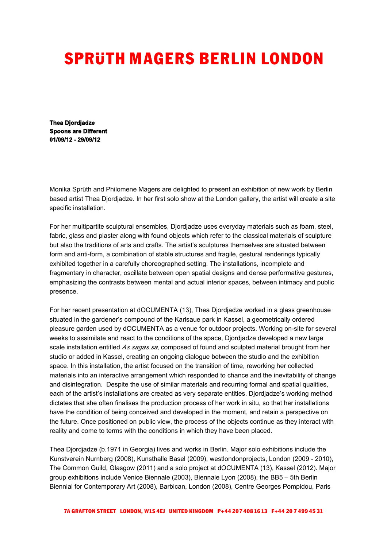## **SPRÜTH MAGERS BERLIN LONDON**

**Thea Djordjadze Spoons are Different 01/09/12 - 29/09/12**

Monika Sprüth and Philomene Magers are delighted to present an exhibition of new work by Berlin based artist Thea Djordjadze. In her first solo show at the London gallery, the artist will create a site specific installation.

For her multipartite sculptural ensembles, Djordjadze uses everyday materials such as foam, steel, fabric, glass and plaster along with found objects which refer to the classical materials of sculpture but also the traditions of arts and crafts. The artist's sculptures themselves are situated between form and anti-form, a combination of stable structures and fragile, gestural renderings typically exhibited together in a carefully choreographed setting. The installations, incomplete and fragmentary in character, oscillate between open spatial designs and dense performative gestures, emphasizing the contrasts between mental and actual interior spaces, between intimacy and public presence.

For her recent presentation at dOCUMENTA (13), Thea Djordjadze worked in a glass greenhouse situated in the gardener's compound of the Karlsaue park in Kassel, a geometrically ordered pleasure garden used by dOCUMENTA as a venue for outdoor projects. Working on-site for several weeks to assimilate and react to the conditions of the space, Djordjadze developed a new large scale installation entitled *As sagas sa*, composed of found and sculpted material brought from her studio or added in Kassel, creating an ongoing dialogue between the studio and the exhibition space. In this installation, the artist focused on the transition of time, reworking her collected materials into an interactive arrangement which responded to chance and the inevitability of change and disintegration. Despite the use of similar materials and recurring formal and spatial qualities, each of the artist's installations are created as very separate entities. Djordjadze's working method dictates that she often finalises the production process of her work in situ, so that her installations have the condition of being conceived and developed in the moment, and retain a perspective on the future. Once positioned on public view, the process of the objects continue as they interact with reality and come to terms with the conditions in which they have been placed.

Thea Djordjadze (b.1971 in Georgia) lives and works in Berlin. Major solo exhibitions include the Kunstverein Nurnberg (2008), Kunsthalle Basel (2009), westlondonprojects, London (2009 - 2010), The Common Guild, Glasgow (2011) and a solo project at dOCUMENTA (13), Kassel (2012). Major group exhibitions include Venice Biennale (2003), Biennale Lyon (2008), the BB5 – 5th Berlin Biennial for Contemporary Art (2008), Barbican, London (2008), Centre Georges Pompidou, Paris